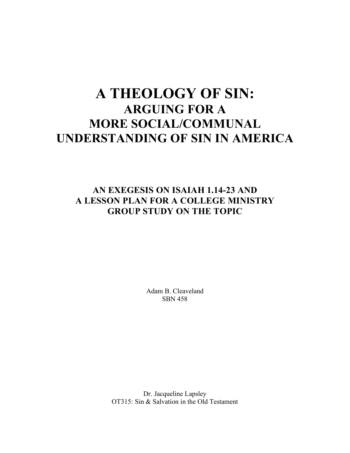# **A THEOLOGY OF SIN: ARGUING FOR A MORE SOCIAL/COMMUNAL UNDERSTANDING OF SIN IN AMERICA**

# **AN EXEGESIS ON ISAIAH 1.14-23 AND A LESSON PLAN FOR A COLLEGE MINISTRY GROUP STUDY ON THE TOPIC**

Adam B. Cleaveland SBN 458

Dr. Jacqueline Lapsley OT315: Sin & Salvation in the Old Testament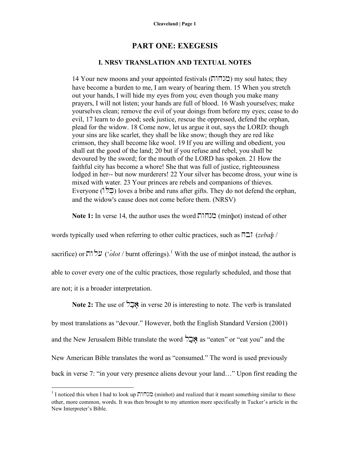# **PART ONE: EXEGESIS**

### **I. NRSV TRANSLATION AND TEXTUAL NOTES**

14 Your new moons and your appointed festivals (בובחות) my soul hates; they have become a burden to me, I am weary of bearing them. 15 When you stretch out your hands, I will hide my eyes from you; even though you make many prayers, I will not listen; your hands are full of blood. 16 Wash yourselves; make yourselves clean; remove the evil of your doings from before my eyes; cease to do evil, 17 learn to do good; seek justice, rescue the oppressed, defend the orphan, plead for the widow. 18 Come now, let us argue it out, says the LORD: though your sins are like scarlet, they shall be like snow; though they are red like crimson, they shall become like wool. 19 If you are willing and obedient, you shall eat the good of the land; 20 but if you refuse and rebel, you shall be devoured by the sword; for the mouth of the LORD has spoken. 21 How the faithful city has become a whore! She that was full of justice, righteousness lodged in her-- but now murderers! 22 Your silver has become dross, your wine is mixed with water. 23 Your princes are rebels and companions of thieves. Everyone ( $\left(\overrightarrow{p}\right)$ ) loves a bribe and runs after gifts. They do not defend the orphan, and the widow's cause does not come before them. (NRSV)

**Note 1:** In verse 14, the author uses the word  $\overline{M}$  $\overline{M}$  (minhot) instead of other

words typically used when referring to other cultic practices, such as  $\Pi \exists \vec{i}$  (*zebah* /

sacrifice) or שלוה ('*olot* / burnt offerings).<sup>1</sup> With the use of minhot instead, the author is

able to cover every one of the cultic practices, those regularly scheduled, and those that

are not; it is a broader interpretation.

**Note 2:** The use of  $\overleftrightarrow{P}$  in verse 20 is interesting to note. The verb is translated

by most translations as "devour." However, both the English Standard Version (2001)

and the New Jerusalem Bible translate the word  $\sum$ **x** as "eaten" or "eat you" and the

New American Bible translates the word as "consumed." The word is used previously

back in verse 7: "in your very presence aliens devour your land…" Upon first reading the

 $1$ I noticed this when I had to look up לגהור $\Omega$  (minhot) and realized that it meant something similar to these other, more common, words. It was then brought to my attention more specifically in Tucker's article in the New Interpreter's Bible.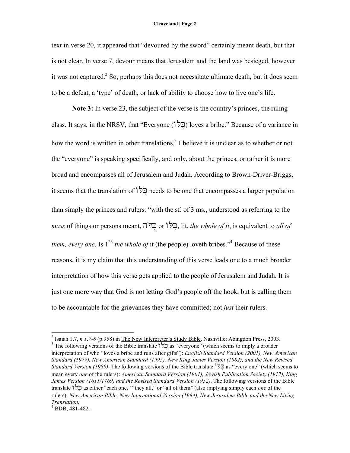#### **Cleaveland | Page 2**

text in verse 20, it appeared that "devoured by the sword" certainly meant death, but that is not clear. In verse 7, devour means that Jerusalem and the land was besieged, however it was not captured.<sup>2</sup> So, perhaps this does not necessitate ultimate death, but it does seem to be a defeat, a 'type' of death, or lack of ability to choose how to live one's life.

**Note 3:** In verse 23, the subject of the verse is the country's princes, the rulingclass. It says, in the NRSV, that "Everyone ( $\overrightarrow{CP}$ ) loves a bribe." Because of a variance in how the word is written in other translations,<sup>3</sup> I believe it is unclear as to whether or not the "everyone" is speaking specifically, and only, about the princes, or rather it is more broad and encompasses all of Jerusalem and Judah. According to Brown-Driver-Briggs, it seems that the translation of  $\overline{Q}$  needs to be one that encompasses a larger population than simply the princes and rulers: "with the sf. of 3 ms., understood as referring to the *mass* of things or persons meant, hlo@k@uor wOl@k@u, lit. *the whole of it*, is equivalent to *all of them, every one,* Is  $1^{23}$  *the whole of* it (the people) loveth bribes.<sup>44</sup> Because of these reasons, it is my claim that this understanding of this verse leads one to a much broader interpretation of how this verse gets applied to the people of Jerusalem and Judah. It is just one more way that God is not letting God's people off the hook, but is calling them to be accountable for the grievances they have committed; not *just* their rulers.

 <sup>2</sup> Isaiah 1.7, *<sup>n</sup> 1.7-8* (p.958) in The New Interpreter's Study Bible. Nashville: Abingdon Press, 2003. 3 The following versions of the Bible translate  $\frac{1}{2}$  as "everyone" (which seems to imply a broader interpretation of who "loves a bribe and runs after gifts"): *English Standard Version (2001), New American Standard (1977), New American Standard (1995), New King James Version (1982), and the New Revised Standard Version (1989)*. The following versions of the Bible translate  $\sqrt{a}$  as "every one" (which seems to mean every *one* of the rulers): *American Standard Version (1901), Jewish Publication Society (1917), King James Version (1611/1769) and the Revised Standard Version (1952)*. The following versions of the Bible translate  $\vec{r}$  as either "each one," "they all," or "all of them" (also implying simply each *one* of the rulers): *New American Bible, New International Version (1984), New Jerusalem Bible and the New Living Translation.* <sup>4</sup> BDB, 481-482.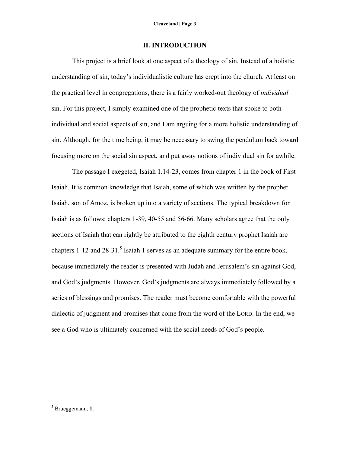### **II. INTRODUCTION**

This project is a brief look at one aspect of a theology of sin. Instead of a holistic understanding of sin, today's individualistic culture has crept into the church. At least on the practical level in congregations, there is a fairly worked-out theology of *individual* sin. For this project, I simply examined one of the prophetic texts that spoke to both individual and social aspects of sin, and I am arguing for a more holistic understanding of sin. Although, for the time being, it may be necessary to swing the pendulum back toward focusing more on the social sin aspect, and put away notions of individual sin for awhile.

The passage I exegeted, Isaiah 1.14-23, comes from chapter 1 in the book of First Isaiah. It is common knowledge that Isaiah, some of which was written by the prophet Isaiah, son of Amoz, is broken up into a variety of sections. The typical breakdown for Isaiah is as follows: chapters 1-39, 40-55 and 56-66. Many scholars agree that the only sections of Isaiah that can rightly be attributed to the eighth century prophet Isaiah are chapters  $1-12$  and  $28-31$ .<sup>5</sup> Isaiah 1 serves as an adequate summary for the entire book, because immediately the reader is presented with Judah and Jerusalem's sin against God, and God's judgments. However, God's judgments are always immediately followed by a series of blessings and promises. The reader must become comfortable with the powerful dialectic of judgment and promises that come from the word of the LORD. In the end, we see a God who is ultimately concerned with the social needs of God's people.

 $5$  Brueggemann, 8.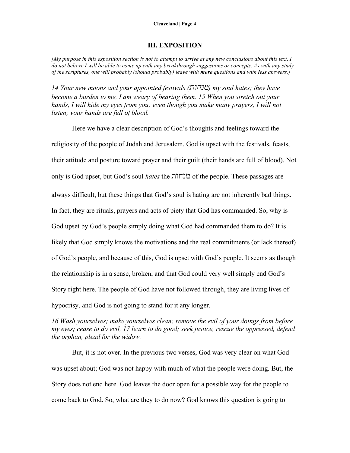#### **Cleaveland | Page 4**

#### **III. EXPOSITION**

 $\int M_V$  purpose in this exposition section is not to attempt to arrive at any new conclusions about this text. I do not believe I will be able to come up with any breakthrough suggestions or concepts. As with any study *of the scriptures, one will probably (should probably) leave with more questions and with less answers.]*

*14 Your new moons and your appointed festivals (מנחור) my soul hates; they have become a burden to me, I am weary of bearing them. 15 When you stretch out your hands, I will hide my eyes from you; even though you make many prayers, I will not listen; your hands are full of blood.*

Here we have a clear description of God's thoughts and feelings toward the religiosity of the people of Judah and Jerusalem. God is upset with the festivals, feasts, their attitude and posture toward prayer and their guilt (their hands are full of blood). Not only is God upset, but God's soul *hates* the twxnm of the people. These passages are always difficult, but these things that God's soul is hating are not inherently bad things. In fact, they are rituals, prayers and acts of piety that God has commanded. So, why is God upset by God's people simply doing what God had commanded them to do? It is likely that God simply knows the motivations and the real commitments (or lack thereof) of God's people, and because of this, God is upset with God's people. It seems as though the relationship is in a sense, broken, and that God could very well simply end God's Story right here. The people of God have not followed through, they are living lives of hypocrisy, and God is not going to stand for it any longer.

# *16 Wash yourselves; make yourselves clean; remove the evil of your doings from before my eyes; cease to do evil, 17 learn to do good; seek justice, rescue the oppressed, defend the orphan, plead for the widow.*

But, it is not over. In the previous two verses, God was very clear on what God was upset about; God was not happy with much of what the people were doing. But, the Story does not end here. God leaves the door open for a possible way for the people to come back to God. So, what are they to do now? God knows this question is going to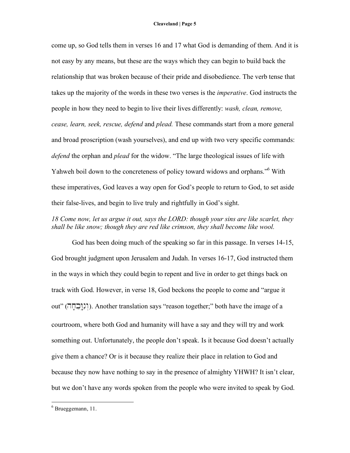come up, so God tells them in verses 16 and 17 what God is demanding of them. And it is not easy by any means, but these are the ways which they can begin to build back the relationship that was broken because of their pride and disobedience. The verb tense that takes up the majority of the words in these two verses is the *imperative*. God instructs the people in how they need to begin to live their lives differently: *wash, clean, remove, cease, learn, seek, rescue, defend* and *plead.* These commands start from a more general and broad proscription (wash yourselves), and end up with two very specific commands: *defend* the orphan and *plead* for the widow. "The large theological issues of life with Yahweh boil down to the concreteness of policy toward widows and orphans."<sup>6</sup> With these imperatives, God leaves a way open for God's people to return to God, to set aside their false-lives, and begin to live truly and rightfully in God's sight.

## *18 Come now, let us argue it out, says the LORD: though your sins are like scarlet, they shall be like snow; though they are red like crimson, they shall become like wool.*

God has been doing much of the speaking so far in this passage. In verses 14-15, God brought judgment upon Jerusalem and Judah. In verses 16-17, God instructed them in the ways in which they could begin to repent and live in order to get things back on track with God. However, in verse 18, God beckons the people to come and "argue it out" ( $\Box$ ונובחה). Another translation says "reason together;" both have the image of a courtroom, where both God and humanity will have a say and they will try and work something out. Unfortunately, the people don't speak. Is it because God doesn't actually give them a chance? Or is it because they realize their place in relation to God and because they now have nothing to say in the presence of almighty YHWH? It isn't clear, but we don't have any words spoken from the people who were invited to speak by God.

 $6$  Brueggemann, 11.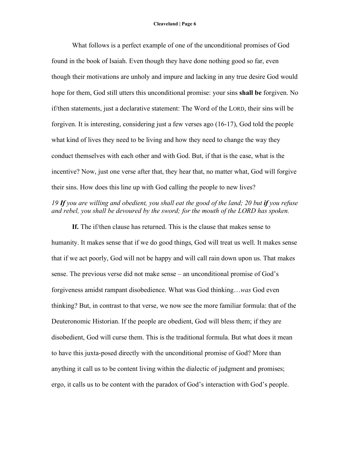What follows is a perfect example of one of the unconditional promises of God found in the book of Isaiah. Even though they have done nothing good so far, even though their motivations are unholy and impure and lacking in any true desire God would hope for them, God still utters this unconditional promise: your sins **shall be** forgiven. No if/then statements, just a declarative statement: The Word of the LORD, their sins will be forgiven. It is interesting, considering just a few verses ago (16-17), God told the people what kind of lives they need to be living and how they need to change the way they conduct themselves with each other and with God. But, if that is the case, what is the incentive? Now, just one verse after that, they hear that, no matter what, God will forgive their sins. How does this line up with God calling the people to new lives?

# *19 If you are willing and obedient, you shall eat the good of the land; 20 but if you refuse and rebel, you shall be devoured by the sword; for the mouth of the LORD has spoken.*

**If.** The if/then clause has returned. This is the clause that makes sense to humanity. It makes sense that if we do good things, God will treat us well. It makes sense that if we act poorly, God will not be happy and will call rain down upon us. That makes sense. The previous verse did not make sense – an unconditional promise of God's forgiveness amidst rampant disobedience. What was God thinking…*was* God even thinking? But, in contrast to that verse, we now see the more familiar formula: that of the Deuteronomic Historian. If the people are obedient, God will bless them; if they are disobedient, God will curse them. This is the traditional formula. But what does it mean to have this juxta-posed directly with the unconditional promise of God? More than anything it call us to be content living within the dialectic of judgment and promises; ergo, it calls us to be content with the paradox of God's interaction with God's people.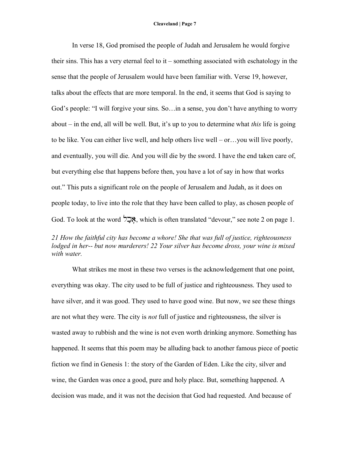In verse 18, God promised the people of Judah and Jerusalem he would forgive their sins. This has a very eternal feel to it – something associated with eschatology in the sense that the people of Jerusalem would have been familiar with. Verse 19, however, talks about the effects that are more temporal. In the end, it seems that God is saying to God's people: "I will forgive your sins. So…in a sense, you don't have anything to worry about – in the end, all will be well. But, it's up to you to determine what *this* life is going to be like. You can either live well, and help others live well – or…you will live poorly, and eventually, you will die. And you will die by the sword. I have the end taken care of, but everything else that happens before then, you have a lot of say in how that works out." This puts a significant role on the people of Jerusalem and Judah, as it does on people today, to live into the role that they have been called to play, as chosen people of God. To look at the word  $\sum$ N, which is often translated "devour," see note 2 on page 1.

# *21 How the faithful city has become a whore! She that was full of justice, righteousness lodged in her-- but now murderers! 22 Your silver has become dross, your wine is mixed with water.*

What strikes me most in these two verses is the acknowledgement that one point, everything was okay. The city used to be full of justice and righteousness. They used to have silver, and it was good. They used to have good wine. But now, we see these things are not what they were. The city is *not* full of justice and righteousness, the silver is wasted away to rubbish and the wine is not even worth drinking anymore. Something has happened. It seems that this poem may be alluding back to another famous piece of poetic fiction we find in Genesis 1: the story of the Garden of Eden. Like the city, silver and wine, the Garden was once a good, pure and holy place. But, something happened. A decision was made, and it was not the decision that God had requested. And because of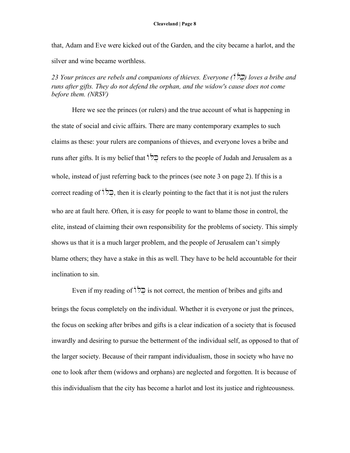that, Adam and Eve were kicked out of the Garden, and the city became a harlot, and the silver and wine became worthless.

*23 Your princes are rebels and companions of thieves. Everyone (* $\frac{1}{2}$ *) loves a bribe and runs after gifts. They do not defend the orphan, and the widow's cause does not come before them. (NRSV)*

Here we see the princes (or rulers) and the true account of what is happening in the state of social and civic affairs. There are many contemporary examples to such claims as these: your rulers are companions of thieves, and everyone loves a bribe and runs after gifts. It is my belief that  $\overrightarrow{C}$  refers to the people of Judah and Jerusalem as a whole, instead of just referring back to the princes (see note 3 on page 2). If this is a correct reading of  $\overrightarrow{C}$ , then it is clearly pointing to the fact that it is not just the rulers who are at fault here. Often, it is easy for people to want to blame those in control, the elite, instead of claiming their own responsibility for the problems of society. This simply shows us that it is a much larger problem, and the people of Jerusalem can't simply blame others; they have a stake in this as well. They have to be held accountable for their inclination to sin.

Even if my reading of  $\overrightarrow{P}$  is not correct, the mention of bribes and gifts and brings the focus completely on the individual. Whether it is everyone or just the princes, the focus on seeking after bribes and gifts is a clear indication of a society that is focused inwardly and desiring to pursue the betterment of the individual self, as opposed to that of the larger society. Because of their rampant individualism, those in society who have no one to look after them (widows and orphans) are neglected and forgotten. It is because of this individualism that the city has become a harlot and lost its justice and righteousness.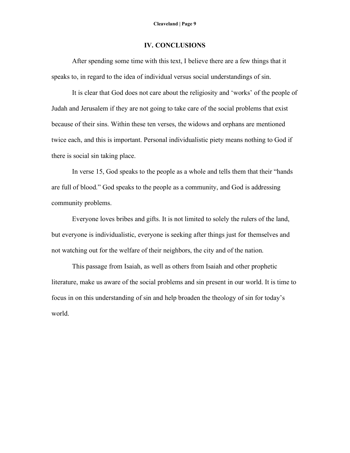# **IV. CONCLUSIONS**

After spending some time with this text, I believe there are a few things that it speaks to, in regard to the idea of individual versus social understandings of sin.

It is clear that God does not care about the religiosity and 'works' of the people of Judah and Jerusalem if they are not going to take care of the social problems that exist because of their sins. Within these ten verses, the widows and orphans are mentioned twice each, and this is important. Personal individualistic piety means nothing to God if there is social sin taking place.

In verse 15, God speaks to the people as a whole and tells them that their "hands are full of blood." God speaks to the people as a community, and God is addressing community problems.

Everyone loves bribes and gifts. It is not limited to solely the rulers of the land, but everyone is individualistic, everyone is seeking after things just for themselves and not watching out for the welfare of their neighbors, the city and of the nation.

This passage from Isaiah, as well as others from Isaiah and other prophetic literature, make us aware of the social problems and sin present in our world. It is time to focus in on this understanding of sin and help broaden the theology of sin for today's world.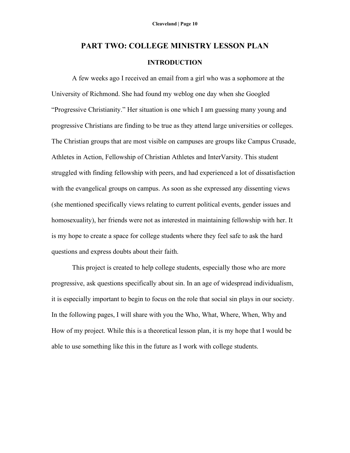# **PART TWO: COLLEGE MINISTRY LESSON PLAN INTRODUCTION**

A few weeks ago I received an email from a girl who was a sophomore at the University of Richmond. She had found my weblog one day when she Googled "Progressive Christianity." Her situation is one which I am guessing many young and progressive Christians are finding to be true as they attend large universities or colleges. The Christian groups that are most visible on campuses are groups like Campus Crusade, Athletes in Action, Fellowship of Christian Athletes and InterVarsity. This student struggled with finding fellowship with peers, and had experienced a lot of dissatisfaction with the evangelical groups on campus. As soon as she expressed any dissenting views (she mentioned specifically views relating to current political events, gender issues and homosexuality), her friends were not as interested in maintaining fellowship with her. It is my hope to create a space for college students where they feel safe to ask the hard questions and express doubts about their faith.

This project is created to help college students, especially those who are more progressive, ask questions specifically about sin. In an age of widespread individualism, it is especially important to begin to focus on the role that social sin plays in our society. In the following pages, I will share with you the Who, What, Where, When, Why and How of my project. While this is a theoretical lesson plan, it is my hope that I would be able to use something like this in the future as I work with college students.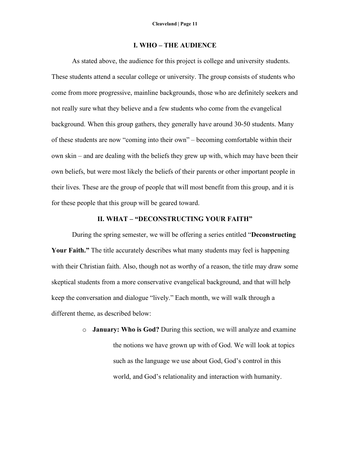### **I. WHO – THE AUDIENCE**

As stated above, the audience for this project is college and university students. These students attend a secular college or university. The group consists of students who come from more progressive, mainline backgrounds, those who are definitely seekers and not really sure what they believe and a few students who come from the evangelical background. When this group gathers, they generally have around 30-50 students. Many of these students are now "coming into their own" – becoming comfortable within their own skin – and are dealing with the beliefs they grew up with, which may have been their own beliefs, but were most likely the beliefs of their parents or other important people in their lives. These are the group of people that will most benefit from this group, and it is for these people that this group will be geared toward.

#### **II. WHAT – "DECONSTRUCTING YOUR FAITH"**

During the spring semester, we will be offering a series entitled "**Deconstructing Your Faith."** The title accurately describes what many students may feel is happening with their Christian faith. Also, though not as worthy of a reason, the title may draw some skeptical students from a more conservative evangelical background, and that will help keep the conversation and dialogue "lively." Each month, we will walk through a different theme, as described below:

> o **January: Who is God?** During this section, we will analyze and examine the notions we have grown up with of God. We will look at topics such as the language we use about God, God's control in this world, and God's relationality and interaction with humanity.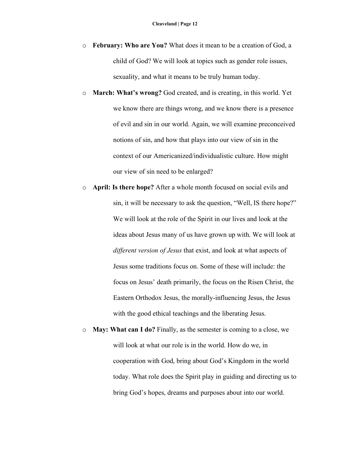- o **February: Who are You?** What does it mean to be a creation of God, a child of God? We will look at topics such as gender role issues, sexuality, and what it means to be truly human today.
- o **March: What's wrong?** God created, and is creating, in this world. Yet we know there are things wrong, and we know there is a presence of evil and sin in our world. Again, we will examine preconceived notions of sin, and how that plays into our view of sin in the context of our Americanized/individualistic culture. How might our view of sin need to be enlarged?
- o **April: Is there hope?** After a whole month focused on social evils and sin, it will be necessary to ask the question, "Well, IS there hope?" We will look at the role of the Spirit in our lives and look at the ideas about Jesus many of us have grown up with. We will look at *different version of Jesus* that exist, and look at what aspects of Jesus some traditions focus on. Some of these will include: the focus on Jesus' death primarily, the focus on the Risen Christ, the Eastern Orthodox Jesus, the morally-influencing Jesus, the Jesus with the good ethical teachings and the liberating Jesus.
- o **May: What can I do?** Finally, as the semester is coming to a close, we will look at what our role is in the world. How do we, in cooperation with God, bring about God's Kingdom in the world today. What role does the Spirit play in guiding and directing us to bring God's hopes, dreams and purposes about into our world.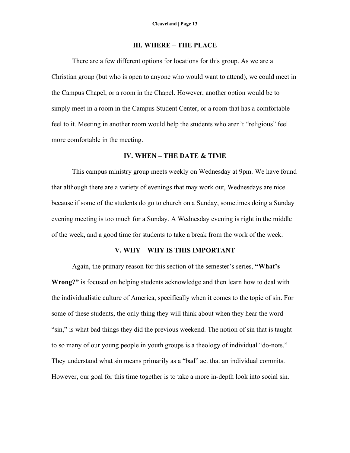#### **III. WHERE – THE PLACE**

There are a few different options for locations for this group. As we are a Christian group (but who is open to anyone who would want to attend), we could meet in the Campus Chapel, or a room in the Chapel. However, another option would be to simply meet in a room in the Campus Student Center, or a room that has a comfortable feel to it. Meeting in another room would help the students who aren't "religious" feel more comfortable in the meeting.

#### **IV. WHEN – THE DATE & TIME**

This campus ministry group meets weekly on Wednesday at 9pm. We have found that although there are a variety of evenings that may work out, Wednesdays are nice because if some of the students do go to church on a Sunday, sometimes doing a Sunday evening meeting is too much for a Sunday. A Wednesday evening is right in the middle of the week, and a good time for students to take a break from the work of the week.

#### **V. WHY – WHY IS THIS IMPORTANT**

Again, the primary reason for this section of the semester's series, **"What's Wrong?"** is focused on helping students acknowledge and then learn how to deal with the individualistic culture of America, specifically when it comes to the topic of sin. For some of these students, the only thing they will think about when they hear the word "sin," is what bad things they did the previous weekend. The notion of sin that is taught to so many of our young people in youth groups is a theology of individual "do-nots." They understand what sin means primarily as a "bad" act that an individual commits. However, our goal for this time together is to take a more in-depth look into social sin.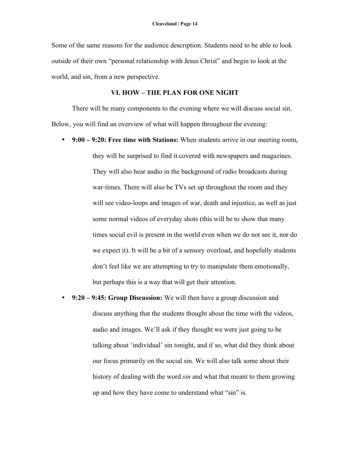Some of the same reasons for the audience description. Students need to be able to look outside of their own "personal relationship with Jesus Christ" and begin to look at the world, and sin, from a new perspective.

### **VI. HOW – THE PLAN FOR ONE NIGHT**

There will be many components to the evening where we will discuss social sin. Below, you will find an overview of what will happen throughout the evening:

- **9:00 – 9:20: Free time with Stations:** When students arrive in our meeting room, they will be surprised to find it covered with newspapers and magazines. They will also hear audio in the background of radio broadcasts during war-times. There will also be TVs set up throughout the room and they will see video-loops and images of war, death and injustice, as well as just some normal videos of everyday shots (this will be to show that many times social evil is present in the world even when we do not see it, nor do we expect it). It will be a bit of a sensory overload, and hopefully students don't feel like we are attempting to try to manipulate them emotionally, but perhaps this is a way that will get their attention.
- **9:20 – 9:45: Group Discussion:** We will then have a group discussion and discuss anything that the students thought about the time with the videos, audio and images. We'll ask if they thought we were just going to be talking about 'individual' sin tonight, and if so, what did they think about our focus primarily on the social sin. We will also talk some about their history of dealing with the word *sin* and what that meant to them growing up and how they have come to understand what "sin" is.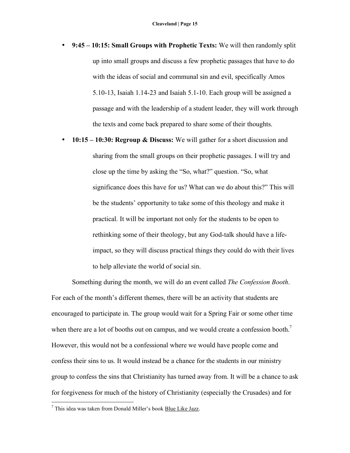- **9:45 – 10:15: Small Groups with Prophetic Texts:** We will then randomly split up into small groups and discuss a few prophetic passages that have to do with the ideas of social and communal sin and evil, specifically Amos 5.10-13, Isaiah 1.14-23 and Isaiah 5.1-10. Each group will be assigned a passage and with the leadership of a student leader, they will work through the texts and come back prepared to share some of their thoughts.
- **10:15 – 10:30: Regroup & Discuss:** We will gather for a short discussion and sharing from the small groups on their prophetic passages. I will try and close up the time by asking the "So, what?" question. "So, what significance does this have for us? What can we do about this?" This will be the students' opportunity to take some of this theology and make it practical. It will be important not only for the students to be open to rethinking some of their theology, but any God-talk should have a lifeimpact, so they will discuss practical things they could do with their lives to help alleviate the world of social sin.

Something during the month, we will do an event called *The Confession Booth*. For each of the month's different themes, there will be an activity that students are encouraged to participate in. The group would wait for a Spring Fair or some other time when there are a lot of booths out on campus, and we would create a confession booth.<sup>7</sup> However, this would not be a confessional where we would have people come and confess their sins to us. It would instead be a chance for the students in our ministry group to confess the sins that Christianity has turned away from. It will be a chance to ask for forgiveness for much of the history of Christianity (especially the Crusades) and for

 $7$  This idea was taken from Donald Miller's book Blue Like Jazz.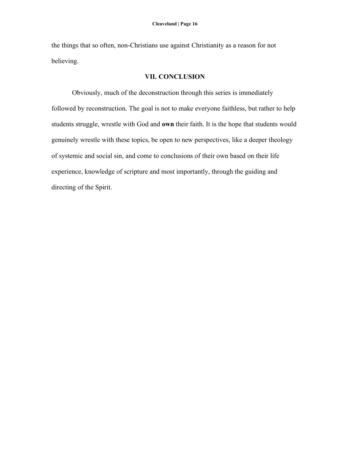the things that so often, non-Christians use against Christianity as a reason for not believing.

# **VII. CONCLUSION**

Obviously, much of the deconstruction through this series is immediately followed by reconstruction. The goal is not to make everyone faithless, but rather to help students struggle, wrestle with God and **own** their faith. It is the hope that students would genuinely wrestle with these topics, be open to new perspectives, like a deeper theology of systemic and social sin, and come to conclusions of their own based on their life experience, knowledge of scripture and most importantly, through the guiding and directing of the Spirit.